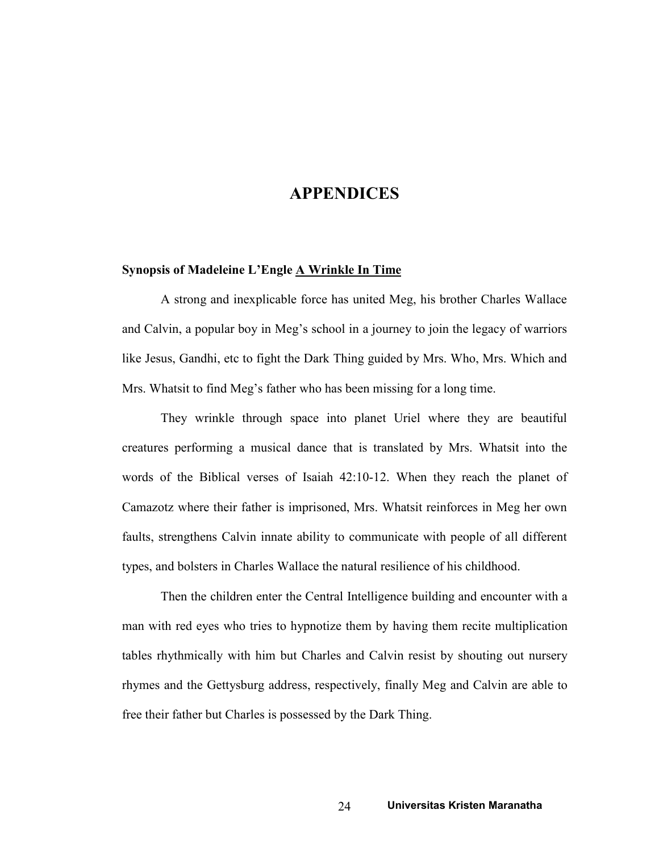## APPENDICES

## Synopsis of Madeleine L'Engle A Wrinkle In Time

A strong and inexplicable force has united Meg, his brother Charles Wallace and Calvin, a popular boy in Meg's school in a journey to join the legacy of warriors like Jesus, Gandhi, etc to fight the Dark Thing guided by Mrs. Who, Mrs. Which and Mrs. Whatsit to find Meg's father who has been missing for a long time.

They wrinkle through space into planet Uriel where they are beautiful creatures performing a musical dance that is translated by Mrs. Whatsit into the words of the Biblical verses of Isaiah 42:10-12. When they reach the planet of Camazotz where their father is imprisoned, Mrs. Whatsit reinforces in Meg her own faults, strengthens Calvin innate ability to communicate with people of all different types, and bolsters in Charles Wallace the natural resilience of his childhood.

Then the children enter the Central Intelligence building and encounter with a man with red eyes who tries to hypnotize them by having them recite multiplication tables rhythmically with him but Charles and Calvin resist by shouting out nursery rhymes and the Gettysburg address, respectively, finally Meg and Calvin are able to free their father but Charles is possessed by the Dark Thing.